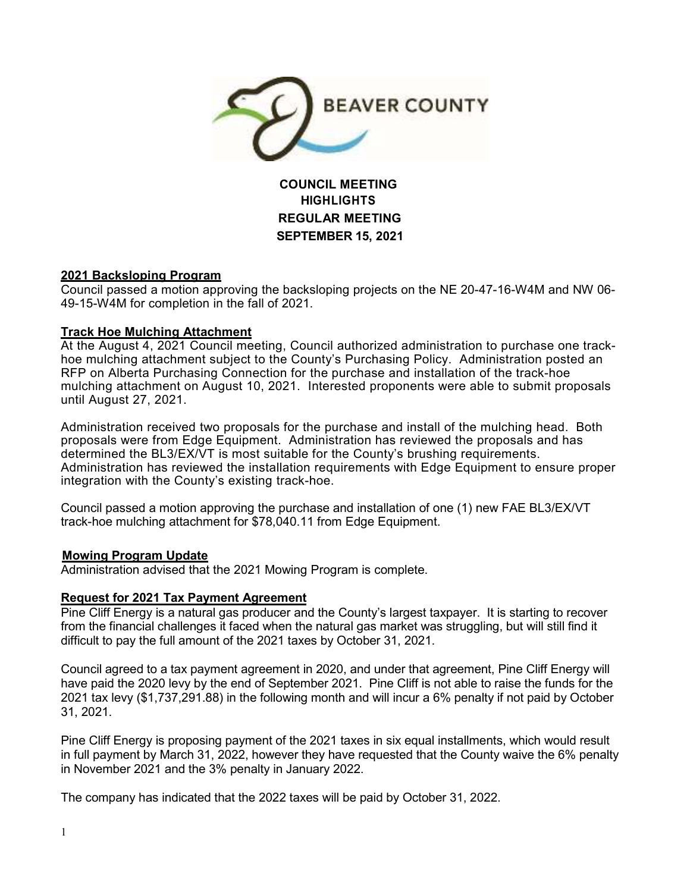

**COUNCIL MEETING HIGHLIGHTS REGULAR MEETING SEPTEMBER 15, 2021**

# **2021 Backsloping Program**

Council passed a motion approving the backsloping projects on the NE 20-47-16-W4M and NW 06- 49-15-W4M for completion in the fall of 2021.

# **Track Hoe Mulching Attachment**

At the August 4, 2021 Council meeting, Council authorized administration to purchase one trackhoe mulching attachment subject to the County's Purchasing Policy. Administration posted an RFP on Alberta Purchasing Connection for the purchase and installation of the track-hoe mulching attachment on August 10, 2021. Interested proponents were able to submit proposals until August 27, 2021.

Administration received two proposals for the purchase and install of the mulching head. Both proposals were from Edge Equipment. Administration has reviewed the proposals and has determined the BL3/EX/VT is most suitable for the County's brushing requirements. Administration has reviewed the installation requirements with Edge Equipment to ensure proper integration with the County's existing track-hoe.

Council passed a motion approving the purchase and installation of one (1) new FAE BL3/EX/VT track-hoe mulching attachment for \$78,040.11 from Edge Equipment.

### **Mowing Program Update**

Administration advised that the 2021 Mowing Program is complete.

### **Request for 2021 Tax Payment Agreement**

Pine Cliff Energy is a natural gas producer and the County's largest taxpayer. It is starting to recover from the financial challenges it faced when the natural gas market was struggling, but will still find it difficult to pay the full amount of the 2021 taxes by October 31, 2021.

Council agreed to a tax payment agreement in 2020, and under that agreement, Pine Cliff Energy will have paid the 2020 levy by the end of September 2021. Pine Cliff is not able to raise the funds for the 2021 tax levy (\$1,737,291.88) in the following month and will incur a 6% penalty if not paid by October 31, 2021.

Pine Cliff Energy is proposing payment of the 2021 taxes in six equal installments, which would result in full payment by March 31, 2022, however they have requested that the County waive the 6% penalty in November 2021 and the 3% penalty in January 2022.

The company has indicated that the 2022 taxes will be paid by October 31, 2022.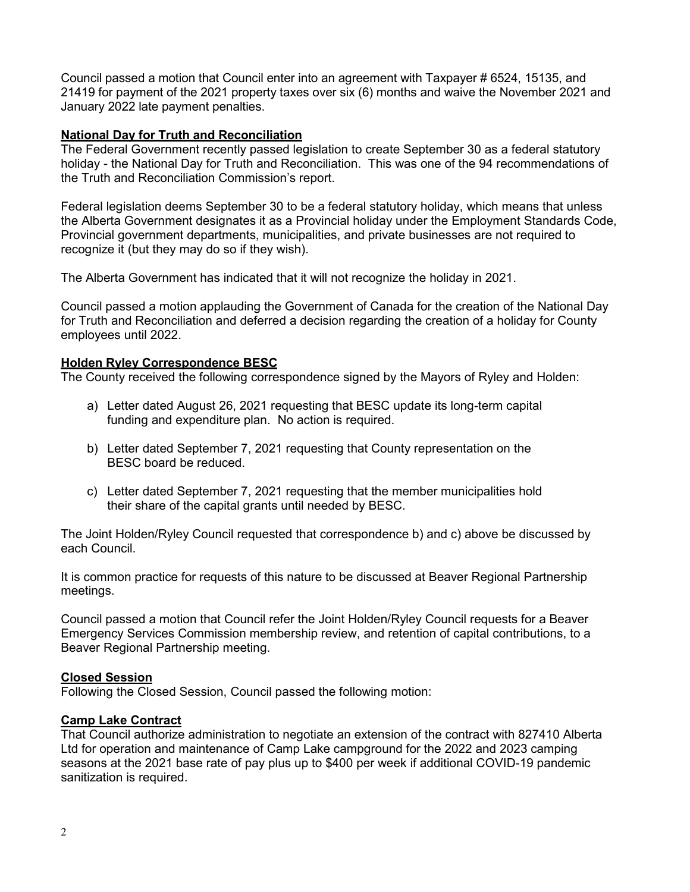Council passed a motion that Council enter into an agreement with Taxpayer # 6524, 15135, and 21419 for payment of the 2021 property taxes over six (6) months and waive the November 2021 and January 2022 late payment penalties.

### **National Day for Truth and Reconciliation**

The Federal Government recently passed legislation to create September 30 as a federal statutory holiday - the National Day for Truth and Reconciliation. This was one of the 94 recommendations of the Truth and Reconciliation Commission's report.

Federal legislation deems September 30 to be a federal statutory holiday, which means that unless the Alberta Government designates it as a Provincial holiday under the Employment Standards Code, Provincial government departments, municipalities, and private businesses are not required to recognize it (but they may do so if they wish).

The Alberta Government has indicated that it will not recognize the holiday in 2021.

Council passed a motion applauding the Government of Canada for the creation of the National Day for Truth and Reconciliation and deferred a decision regarding the creation of a holiday for County employees until 2022.

#### **Holden Ryley Correspondence BESC**

The County received the following correspondence signed by the Mayors of Ryley and Holden:

- a) Letter dated August 26, 2021 requesting that BESC update its long-term capital funding and expenditure plan. No action is required.
- b) Letter dated September 7, 2021 requesting that County representation on the BESC board be reduced.
- c) Letter dated September 7, 2021 requesting that the member municipalities hold their share of the capital grants until needed by BESC.

The Joint Holden/Ryley Council requested that correspondence b) and c) above be discussed by each Council.

It is common practice for requests of this nature to be discussed at Beaver Regional Partnership meetings.

Council passed a motion that Council refer the Joint Holden/Ryley Council requests for a Beaver Emergency Services Commission membership review, and retention of capital contributions, to a Beaver Regional Partnership meeting.

### **Closed Session**

Following the Closed Session, Council passed the following motion:

### **Camp Lake Contract**

That Council authorize administration to negotiate an extension of the contract with 827410 Alberta Ltd for operation and maintenance of Camp Lake campground for the 2022 and 2023 camping seasons at the 2021 base rate of pay plus up to \$400 per week if additional COVID-19 pandemic sanitization is required.